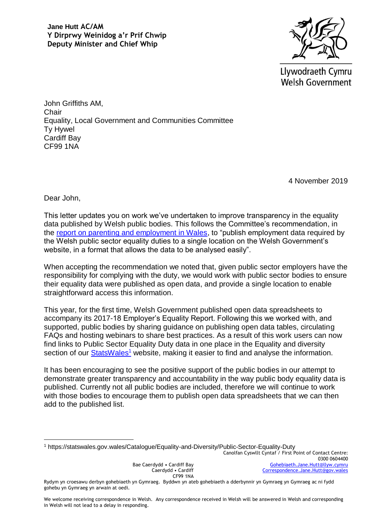

Llywodraeth Cymru **Welsh Government** 

John Griffiths AM, **Chair** Equality, Local Government and Communities Committee Ty Hywel Cardiff Bay CF99 1NA

4 November 2019

Dear John,

<u>.</u>

This letter updates you on work we've undertaken to improve transparency in the equality data published by Welsh public bodies. This follows the Committee's recommendation, in the [report on parenting and employment in Wales,](http://www.assembly.wales/laid%20documents/cr-ld11669/cr-ld11669-e.pdf) to "publish employment data required by the Welsh public sector equality duties to a single location on the Welsh Government's website, in a format that allows the data to be analysed easily".

When accepting the recommendation we noted that, given public sector employers have the responsibility for complying with the duty, we would work with public sector bodies to ensure their equality data were published as open data, and provide a single location to enable straightforward access this information.

This year, for the first time, Welsh Government published open data spreadsheets to accompany its 2017-18 Employer's Equality Report. Following this we worked with, and supported, public bodies by sharing guidance on publishing open data tables, circulating FAQs and hosting webinars to share best practices. As a result of this work users can now find links to Public Sector Equality Duty data in one place in the Equality and diversity section of our **StatsWales<sup>1</sup>** website, making it easier to find and analyse the information.

It has been encouraging to see the positive support of the public bodies in our attempt to demonstrate greater transparency and accountability in the way public body equality data is published. Currently not all public bodies are included, therefore we will continue to work with those bodies to encourage them to publish open data spreadsheets that we can then add to the published list.

<sup>1</sup> https://statswales.gov.wales/Catalogue/Equality-and-Diversity/Public-Sector-Equality-Duty

Canolfan Cyswllt Cyntaf / First Point of Contact Centre: 0300 0604400 [Gohebiaeth.Jane.Hutt@llyw.cymru](mailto:Gohebiaeth.Jane.Hutt@llyw.cymru) [Correspondence.Jane.Hutt@gov.wales](mailto:Correspondence.Jane.Hutt@gov.wales)

Bae Caerdydd • Cardiff Bay Caerdydd • Cardiff CF99 1NA

Rydym yn croesawu derbyn gohebiaeth yn Gymraeg. Byddwn yn ateb gohebiaeth a dderbynnir yn Gymraeg yn Gymraeg ac ni fydd gohebu yn Gymraeg yn arwain at oedi.